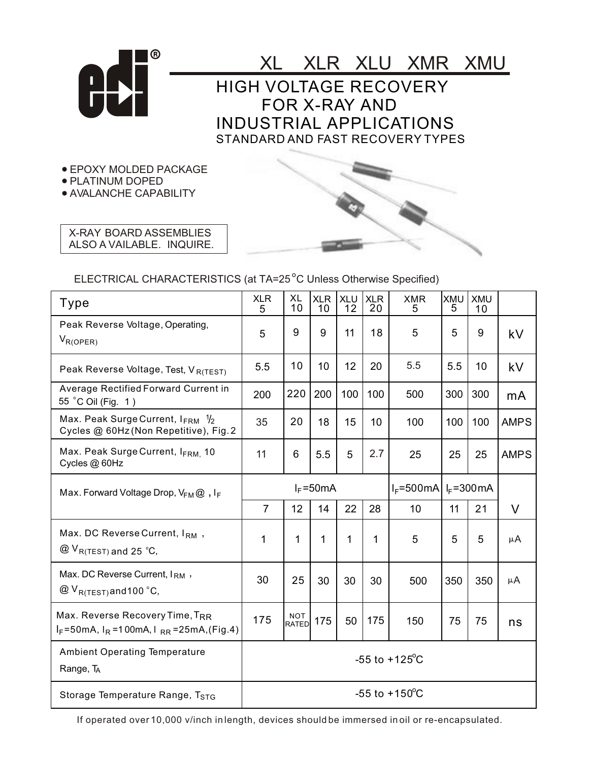

XL XLR XLU XMR XMU HIGH VOLTAGE RECOVERY FOR X-RAY AND INDUSTRIAL APPLICATIONS STANDARD AND FAST RECOVERY TYPES

EPOXY MOLDED PACKAGE

**• PLATINUM DOPED** 

AVALANCHE CAPABILITY

X-RAY BOARD ASSEMBLIES ALSO A VAILABLE. INQUIRE.

## ELECTRICAL CHARACTERISTICS (at TA=25<sup>°</sup>C Unless Otherwise Specified)

| Type                                                                                              | <b>XLR</b><br>5           | <b>XL</b><br>10            | <b>XLR</b><br>10 | <b>XLU</b><br>12 | <b>XLR</b><br>20 | <b>XMR</b><br>5                         | <b>XMU</b><br>5 | <b>XMU</b><br>10 |             |
|---------------------------------------------------------------------------------------------------|---------------------------|----------------------------|------------------|------------------|------------------|-----------------------------------------|-----------------|------------------|-------------|
| Peak Reverse Voltage, Operating,<br>$V_{R(OPER)}$                                                 | 5                         | 9                          | 9                | 11               | 18               | 5                                       | 5               | 9                | kV          |
| Peak Reverse Voltage, Test, VR(TEST)                                                              | 5.5                       | 10                         | 10               | 12               | 20               | 5.5                                     | 5.5             | 10               | kV          |
| Average Rectified Forward Current in<br>55 °C Oil (Fig. 1)                                        | 200                       | 220                        | 200              | 100              | 100              | 500                                     | 300             | 300              | mA          |
| Max. Peak Surge Current, $I_{\text{FRM}}$ $\frac{1}{2}$<br>Cycles @ 60Hz (Non Repetitive), Fig. 2 | 35                        | 20                         | 18               | 15               | 10               | 100                                     | 100             | 100              | <b>AMPS</b> |
| Max. Peak Surge Current, IFRM. 10<br>Cycles @ 60Hz                                                | 11                        | 6                          | 5.5              | 5                | 2.7              | 25                                      | 25              | 25               | <b>AMPS</b> |
| Max. Forward Voltage Drop, $V_{FM} @$ , IF                                                        | $I_F = 50mA$              |                            |                  |                  |                  | $I_F = 500mA$<br>$I_F = 300 \text{ mA}$ |                 |                  |             |
|                                                                                                   | $\overline{7}$            | 12                         | 14               | 22               | 28               | 10                                      | 11              | 21               | V           |
| Max. DC Reverse Current, IRM,<br>$@V_{R(TEST)}$ and 25 °C,                                        | 1                         | 1                          | 1                | 1                | 1                | 5                                       | 5               | 5                | $\mu A$     |
| Max. DC Reverse Current, IRM,<br>$@V_{R(TEST)}$ and 100 °C,                                       | 30                        | 25                         | 30               | 30               | 30               | 500                                     | 350             | 350              | μA          |
| Max. Reverse Recovery Time, TRR<br>$I_F = 50$ mA, $I_R = 100$ mA, $I_{RR} = 25$ mA, (Fig.4)       | 175                       | <b>NOT</b><br><b>RATED</b> | 175              | 50               | 175              | 150                                     | 75              | 75               | ns          |
| <b>Ambient Operating Temperature</b><br>Range, TA                                                 | $-55$ to $+125^{\circ}$ C |                            |                  |                  |                  |                                         |                 |                  |             |
| Storage Temperature Range, T <sub>STG</sub>                                                       | $-55$ to $+150^{\circ}$ C |                            |                  |                  |                  |                                         |                 |                  |             |

If operated over 10,000 v/inch in length, devices should be immersed in oil or re-encapsulated.